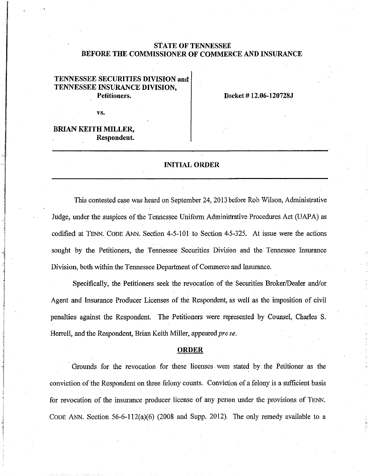# **STATE OF TENNESSEE BEFORE THE COMMISSIONER OF COMMERCE AND INSURANCE**

# **TENNESSEE SECURITIES DIVISION and TENNESSEE INSURANCE DIVISION, Petitioners.**

**Docket# 12.06-120728J** 

vs.

## **BRIAN KEITH MILLER, Respondent.**

•

### **INITIAL ORDER**

This contested case was heard on September 24, 2013 before Rob Wilson, Administrative Judge, under the auspices of the Tennessee Uniform Administrative Procedures Act (UAPA) as codified at TENN. CODE ANN. Section 4-5-101 to Section 4-5-325. At issue were the actions sought by the Petitioners, the Tennessee Securities Division and the Tennessee Insurance Division, both within the Tennessee Department of Commerce and Insurance.

Specifically, the Petitioners seek the revocation of the Securities Broker/Dealer and/or Agent and Insurance Producer Licenses of the Respondent, as well as the imposition of civil penalties against the Respondent. The Petitioners were represented by Counsel, Charles S. Herrell, and the Respondent, Brian Keith Miller, appeared *prose.* 

#### **ORDER**

Grounds for the revocation for these licenses were stated by the Petitioner as the conviction of the Respondent on three felony counts. Conviction of a felony is a sufficient basis for revocation of the insurance producer license of any person under the provisions of TENN. CODE ANN. Section 56-6-112(a)(6) (2008 and Supp. 2012). The only remedy available to a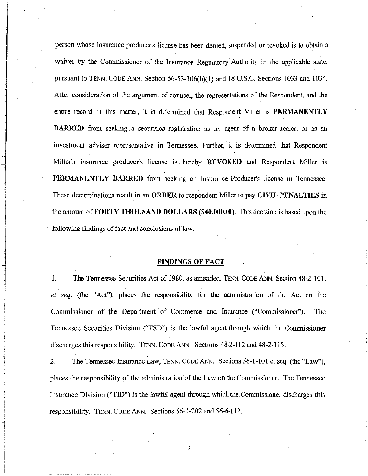person whose insurance producer's license has been denied, suspended or revoked is to obtain a waiver by the Commissioner of the Insurance Regulatory Authority in the applicable state, pursuant to TENN. CODE ANN. Section 56-53-106(b)(1) and 18 U.S.C. Sections 1033 and 1034. After consideration of the argument of counsel, the representations of the Respondent, and the entire record in this matter, it is determined that Respondent Miller is **PERMANENTLY BARRED** from seeking a securities registration as an agent of a broker-dealer, or as an investment adviser representative in Tennessee. Further, it is determined that Respondent Miller's insurance producer's license is hereby **REVOKED** and Respondent Miller is **PERMANENTLY BARRED** from seeking an Insurance Producer's license in Tennessee. These determinations result in an **ORDER** to respondent Miller to pay **CIVIL PENAL TIES** in the amount of **FORTY THOUSAND DOLLARS (\$40,000.00).** This decision is based upon the following findings of fact and conclusions of law.

### **FINDINGS OF FACT**

I. The Tennessee Securities Act of 1980, as amended, TENN. CODE ANN. Section 48-2-101, *et seq.* (the "Act"), places the responsibility for the administration of the Act on the Commissioner of the Department of Commerce and Insurance ("Commissioner"). The Tennessee Securities Division ("TSD") is the lawful agent through which the Connnissioner discharges this responsibility. TENN. CODE ANN. Sections 48-2-112 and 48-2-115.

2. The Tennessee Insurance Law, TENN. CODE ANN. Sections 56-1-101 et seq. (the "Law"), places the responsibility of the administration of the Law on the Commissioner. The Tennessee Insurance Division ("TID") is the lawful agent through which the.Commissioner discharges this responsibility. TENN. CODE ANN. Sections 56-1-202 and 56-6-112.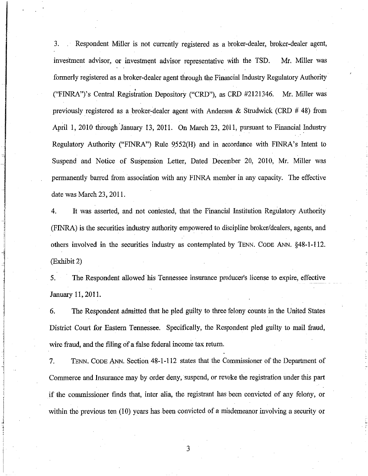3. Respondent Miller is not currently registered as a broker-dealer, broker-dealer agent, investment advisor, or investment advisor representative with the TSD. Mr. Miller was formerly registered as a broker-dealer agent through the Financial Industry Regulatory Authority ("FINRA")'s Central Registration Depository ("CRD"), as CRD #2121346. Mr. Miller was previously registered as a broker-dealer agent with Anderson & Strudwick (CRD  $\#$  48) from April I, 2010 through January 13, 2011. On March 23, 2011, pursuant to Financial Industry Regulatory Authority ("FINRA") Ru1e 9552(H) and in accordance with FINRA's Intent to Suspend and Notice of Suspension Letter, Dated December 20, 2010, Mr. Miller was permanently barred from association with any FINRA member in any capacity. The effective date was March 23, 2011.

4. It was asserted, and not contested, that the Financial Institution Regulatory Authority (FINRA) is the securities industry authority empowered to discipline broker/dealers, agents, and others involved in the securities industry as contemplated by TENN. CODE ANN. §48-1-112. (Exhibit 2)

5. The Respondent allowed his Tennessee insurance producer's license to expire, effective January 11, 2011.

6. The Respondent admitted that he pled guilty to three felony connts in the United States District Court for Eastern Tennessee. Specifically, the Respondent pled guilty to mail fraud, wire fraud, and the filing of a false federal income tax return.

ista – il collectum de table a concerta a constanti<br>Internacional

 $\label{eq:1.1} \frac{1}{2} \int_{\mathbb{R}^3} \frac{1}{\sqrt{2\pi}} \int_{\mathbb{R}^3} \frac{1}{\sqrt{2\pi}} \int_{\mathbb{R}^3} \frac{1}{\sqrt{2\pi}} \int_{\mathbb{R}^3} \frac{1}{\sqrt{2\pi}} \int_{\mathbb{R}^3} \frac{1}{\sqrt{2\pi}} \int_{\mathbb{R}^3} \frac{1}{\sqrt{2\pi}} \int_{\mathbb{R}^3} \frac{1}{\sqrt{2\pi}} \int_{\mathbb{R}^3} \frac{1}{\sqrt{2\pi}} \int_{\mathbb{R}^3}$  $\frac{1}{2}$ 

7. TENN, CODE ANN. Section 48-1-112 states that the Commissioner of the Department of Commerce and Insurance may by order deny, suspend, or revoke the registration nnder this part if the commissioner finds that, inter alia, the registrant has been convicted of any felony, or within the previous ten (10) years has been convicted of a misdemeanor involving a security or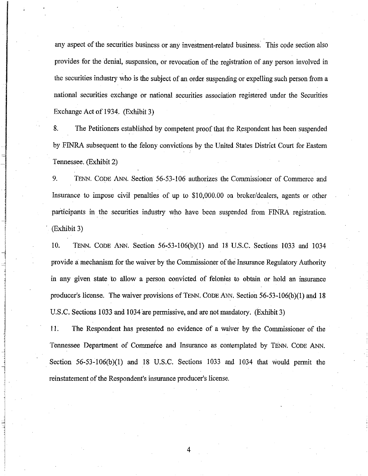any aspect of the securities business or any investment-related business. This code section also provides for the denial, suspension, or revocation of the registration of any person involved in the securities industry who is the subject of an order suspending or expelling such person from a national securities exchange or national securities association registered under the Securities Exchange Act of 1934. (Exhibit 3)

8. The Petitioners established by competent proof that the Respondent has been suspended by FINRA subsequent to the felony convictions by the United States District Court for Eastern Tennessee. (Exhibit 2)

9. TENN. CODE ANN. Section 56-53-106 authorizes the Commissioner of Commerce and Insurance to impose civil penalties of up to \$10,000.00 on broker/dealers, agents or other participants in the securities industry who have been suspended from FINRA registration. (Exhibit 3)

10. TENN. CODE ANN. Section 56-53-106(b)(1) and 18 U.S.C. Sections 1033 and 1034 provide a mechanism for the waiver by the Commissioner of the Insurance Regulatory Authority in any given state to allow a person convicted of felonies to obtain or hold an insurance producer's license. The waiver provisions of TENN. CODE ANN. Section 56-53-106(b)(1) and 18 U.S.C. Sections 1033 and 1034 are permissive, and are not mandatory. (Exhibit 3)

<sup>i</sup>11. The Respondent has presented no evidence of a waiver by the Commissioner of the Tennessee Department of Commefce and Insurance as contemplated by TENN. CODE ANN. Section 56-53-106(b)(l) and 18 U.S.C. Sections 1033 and 1034 that would permit the reinstatement of the Respondent's insurance producer's license.

l

 $\mathbf{I}$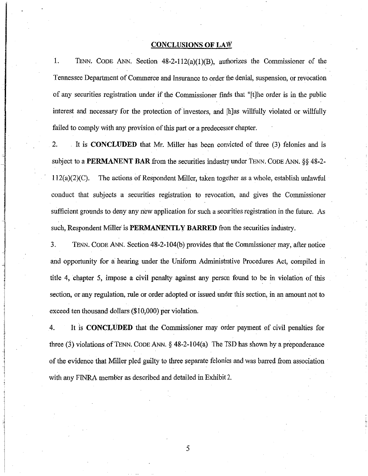#### **CONCLUSIONS OF LAW**

1. TENN. CODE ANN. Section 48-2-112(a)(l)(B), authorizes the Commissioner of the Tennessee Department of Commerce and Insurance to order the denial, suspension, or revocation of any securities registration under if the Commissioner finds that "[t]he order is in the public interest and necessary for the protection of investors, and [h]as willfully violated or willfully failed to comply with any provision of this part or a predecessor chapter.

2. It is **CONCLUDED** that Mr. Miller has been convicted of three (3) felonies and is subject to a **PERMANENT BAR** from the securities industry under TENN. CODE ANN. §§ 48-2-  $112(a)(2)(C)$ . The actions of Respondent Miller, taken together as a whole, establish unlawful conduct that subjects a securities registration to revocation, and gives the Commissioner sufficient grounds to deny any new application for such a securities registration in the future. As such, Respondent Miller is **PERMANENTLY BARRED** from the securities industry.

3. TENN. CODE ANN. Section 48-2-104(b) provides that the Commissioner may, after notice and opportunity for a hearing under the Uniform Administrative Procedures Act, compiled in title 4, chapter 5, impose a civil penalty against any person found to be in violation of this section, or any regulation, rule or order adopted or issued under this section, in an amount not to exceed ten thousand dollars (\$10,000) per violation.

4. It is **CONCLUDED** that the Commissioner may order payment of civil penalties for three (3) violations of TENN. CODE ANN.  $\S$  48-2-104(a) The TSD has shown by a preponderance of the evidence that Miller pled guilty to three separate felonies and was barred from association with any FINRA member as described and detailed in Exhibit 2.

lisan arasadar san<br>.

i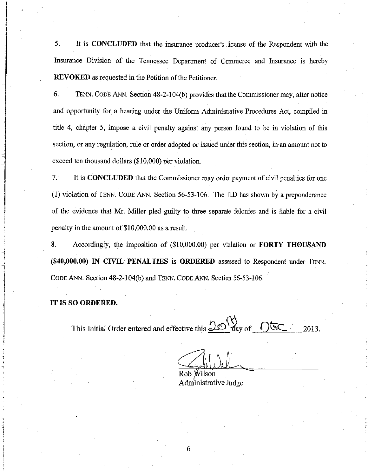5. It is **CONCLUDED** that the insurance producer's .license of the Respondent with the Insurance Division of the Tennessee Department of Commerce and Insurance is hereby **REVOKED** as requested in the Petition of the Petitioner.

6. TENN. CODE ANN. Section 48-2-1 04(b) provides that the Commissioner may, after notice and opportunity for a hearing under the Uniform Administrative Procedures Act, compiled in title 4, chapter 5, impose a civil penalty against any person found to be in violation of this section, or any regulation, rule or order adopted or issued under this section, in an amount not to exceed ten thousand dollars (\$10,000) per violation.

7. It is **CONCLUDED** that the Commissioner may order payment of civil penalties for one (I) violation of TENN. CODE ANN. Section 56-53-106. The TID has shown by a preponderance of the evidence that Mr. Miller pled guilty to three separate felonies and is liable for a civil penalty in the amount of\$10,000.00 as a result.

8. Accordingly, the imposition of (\$10,000.00) per violation or **FORTY THOUSAND (\$40,000.00) IN CIVIL PENALTIES is ORDERED** assessed to Respondent under TENN. CODE ANN. Section 48-2-1 04(b) and TENN. CODE ANN. Section 56-53-106.

**IT IS SO ORDERED.** 

'

l

 $\sim$   $\sim$ This Initial Order entered and effective this  $\frac{\sqrt{20}}{4}$  day of  $\sqrt{5}$   $\frac{1}{2013}$ .

Rob Wilson Administrative Judge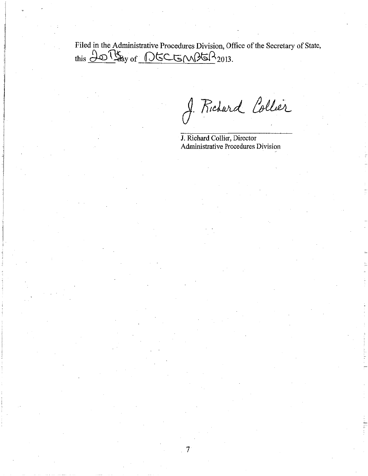Filed in the Administrative Procedures Division, Office of the Secretary of State,  $this$   $\frac{\partial O}{\partial x}$  of  $\bigcirc$ GCGM $\beta$ G $\bigcirc$ <sub>2013.</sub>

 $\frac{1}{2}$ 

 $\begin{array}{c} \begin{array}{c} \text{1.1} \\ \text{1.1} \end{array} \end{array}$ 

I Richard Collier

J. Richard Collier, Director Administrative Procedures Division